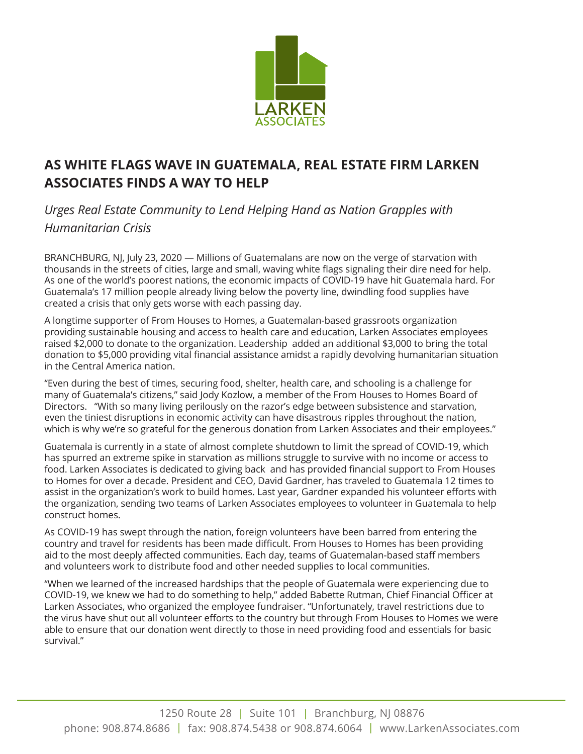

## **AS WHITE FLAGS WAVE IN GUATEMALA, REAL ESTATE FIRM LARKEN ASSOCIATES FINDS A WAY TO HELP**

*Urges Real Estate Community to Lend Helping Hand as Nation Grapples with Humanitarian Crisis*

BRANCHBURG, NJ, July 23, 2020 — Millions of Guatemalans are now on the verge of starvation with thousands in the streets of cities, large and small, waving white flags signaling their dire need for help. As one of the world's poorest nations, the economic impacts of COVID-19 have hit Guatemala hard. For Guatemala's 17 million people already living below the poverty line, dwindling food supplies have created a crisis that only gets worse with each passing day.

A longtime supporter of From Houses to Homes, a Guatemalan-based grassroots organization providing sustainable housing and access to health care and education, Larken Associates employees raised \$2,000 to donate to the organization. Leadership added an additional \$3,000 to bring the total donation to \$5,000 providing vital financial assistance amidst a rapidly devolving humanitarian situation in the Central America nation.

"Even during the best of times, securing food, shelter, health care, and schooling is a challenge for many of Guatemala's citizens," said Jody Kozlow, a member of the From Houses to Homes Board of Directors. "With so many living perilously on the razor's edge between subsistence and starvation, even the tiniest disruptions in economic activity can have disastrous ripples throughout the nation, which is why we're so grateful for the generous donation from Larken Associates and their employees."

Guatemala is currently in a state of almost complete shutdown to limit the spread of COVID-19, which has spurred an extreme spike in starvation as millions struggle to survive with no income or access to food. Larken Associates is dedicated to giving back and has provided financial support to From Houses to Homes for over a decade. President and CEO, David Gardner, has traveled to Guatemala 12 times to assist in the organization's work to build homes. Last year, Gardner expanded his volunteer efforts with the organization, sending two teams of Larken Associates employees to volunteer in Guatemala to help construct homes.

As COVID-19 has swept through the nation, foreign volunteers have been barred from entering the country and travel for residents has been made difficult. From Houses to Homes has been providing aid to the most deeply affected communities. Each day, teams of Guatemalan-based staff members and volunteers work to distribute food and other needed supplies to local communities.

"When we learned of the increased hardships that the people of Guatemala were experiencing due to COVID-19, we knew we had to do something to help," added Babette Rutman, Chief Financial Officer at Larken Associates, who organized the employee fundraiser. "Unfortunately, travel restrictions due to the virus have shut out all volunteer efforts to the country but through From Houses to Homes we were able to ensure that our donation went directly to those in need providing food and essentials for basic survival."